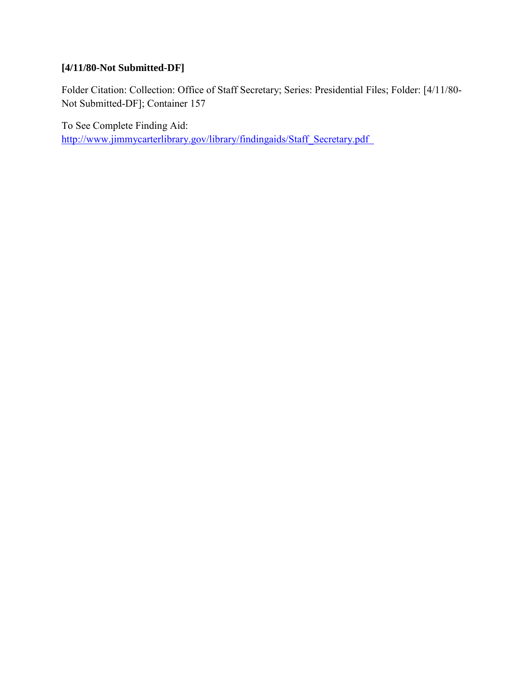# **[4/11/80-Not Submitted-DF]**

Folder Citation: Collection: Office of Staff Secretary; Series: Presidential Files; Folder: [4/11/80- Not Submitted-DF]; Container 157

To See Complete Finding Aid: [http://www.jimmycarterlibrary.gov/library/findingaids/Staff\\_Secretary.pdf](http://www.jimmycarterlibrary.gov/library/findingaixds/Staff_Secretary.pdf)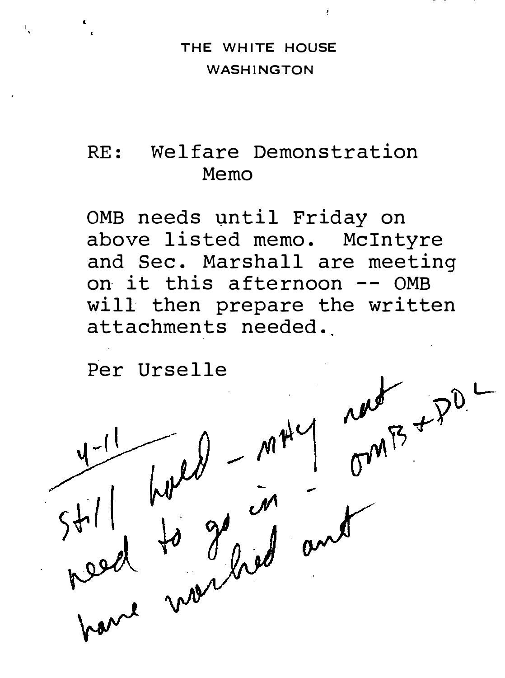#### THE WHITE HOUSE WASHINGTON

#### RE: Welfare Demonstration Memo

OMB needs until Friday on above listed memo. Mcintyre and Sec. Marshall are meeting on it this afternoon -- OMB will then prepare the written attachments needed.

Per Urselle

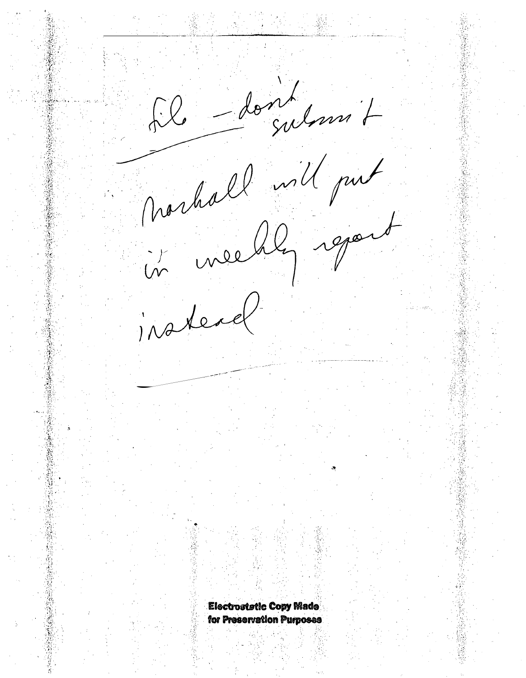Il dont julian 7 norhall will put insteal **Electrostatic Copy Made** for Preservation Purposes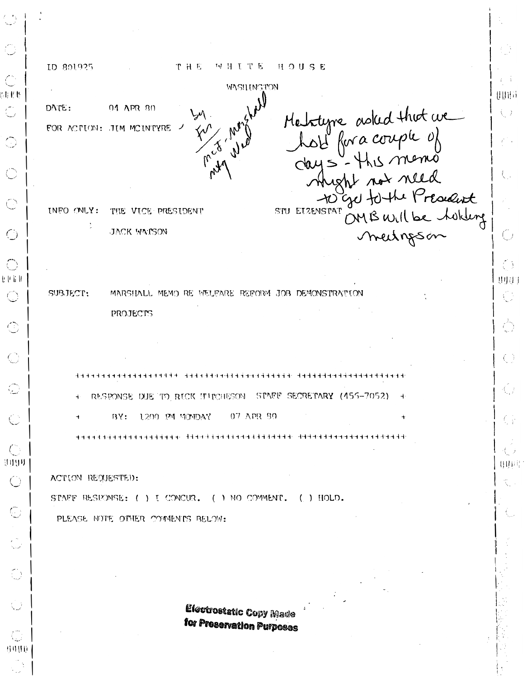| $\mathbb{C}$                                                                |                                                                                |            |
|-----------------------------------------------------------------------------|--------------------------------------------------------------------------------|------------|
|                                                                             | ID 801925<br>HOUSE<br>THE<br>MHITE                                             |            |
|                                                                             | WASH INGTON                                                                    |            |
| 用具性<br>$\mathbb{C}$                                                         | 04 APR 80<br>DATE:                                                             | UUHA<br>Q) |
|                                                                             | FOR ACTION: JIM MCINTYRE                                                       |            |
| $\bigcirc$                                                                  |                                                                                |            |
| $\bigcirc$                                                                  | Mehityne asked that we<br>hold for a couple of<br>days-this memo               |            |
|                                                                             | shight not need<br>To get to the President<br>ENSTAT OMB Will be holding       |            |
|                                                                             | STU ELZENSTAT<br>INFO ONLY:<br>THE VICE PRESIDENT                              |            |
| $\bigcirc$                                                                  | JACK WATSON                                                                    |            |
|                                                                             |                                                                                |            |
| l i li ll                                                                   |                                                                                | Ó<br>3907  |
|                                                                             | SUBJECT:<br>MARSHALL MEMO RE WELFARE REFORM JOB DEMONSTRATION                  |            |
|                                                                             | PROJECTS                                                                       |            |
| ⊙                                                                           |                                                                                |            |
| $\bigodot$                                                                  |                                                                                |            |
|                                                                             |                                                                                |            |
| أريبا                                                                       | RESPONSE DUE TO RICK INFCHESON STAFF SECRETARY (455-7052)<br>÷<br>$\mathbf{+}$ |            |
| $\mathbb{C}$                                                                | 1200 PM MONDAY<br>07 APR 30<br>BY:<br>÷                                        | C)         |
|                                                                             |                                                                                |            |
| $\left(\begin{smallmatrix} 0 & 0 \\ 0 & 0 \end{smallmatrix}\right)$<br>समुग |                                                                                | 用电影        |
| $\bigcirc$                                                                  | ACTION REQUESTED:                                                              |            |
|                                                                             | STAFF RESEONSE: ( ) I CONCUR. ( ) NO COMMENT.<br>$($ ) HOLD.                   |            |
| $\mathbb{C}^{\times}$                                                       | PLEASE NOTE OFHER COMMENTS BELOW:                                              |            |
| $\frac{1}{2}$                                                               |                                                                                |            |
|                                                                             |                                                                                |            |
| $\bigodot$                                                                  |                                                                                |            |
| $\bigcup$                                                                   | <b>Electrostatic Copy Made</b>                                                 |            |
|                                                                             | for Preservation Purposes                                                      |            |
| $\binom{n}{2}$<br>8800                                                      |                                                                                |            |
|                                                                             |                                                                                |            |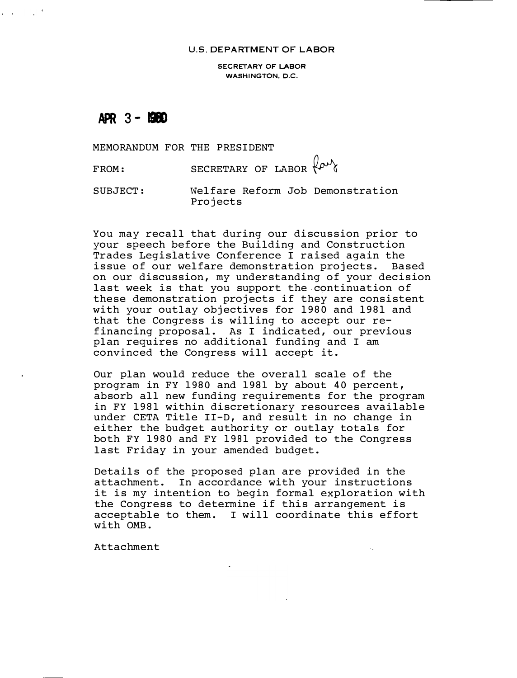#### U.S. DEPARTMENT OF LABOR

SECRETARY OF LABOR WASHINGTON, D.C.

 $APR$  3 -  $B$ 

and company

MEMORANDUM FOR THE PRESIDENT

FROM: SECRETARY OF LABOR  $\{ \rho \nu \}$ 

SUBJECT: Welfare Reform Job Demonstration Projects

You may recall that during our discussion prior to your speech before the Building and Construction Trades Legislative Conference I raised again the issue of our welfare demonstration projects. Based on our discussion, my understanding of your decision last week is that you support the continuation of these demonstration projects if they are consistent with your outlay objectives for 1980 and 1981 and that the Congress is willing to accept our refinancing proposal. As I indicated, our previous plan requires no additional funding and I am convinced the Congress will accept it.

Our plan would reduce the overall scale of the program in FY 1980 and 1981 by about 40 percent, absorb all new funding requirements for the program in FY 1981 within discretionary resources available under CETA Title II-D, and result in no change in either the budget authority or outlay totals for both FY 1980 and FY 1981 provided to the Congress last Friday in your amended budget.

Details of the proposed plan are provided in the attachment. In accordance with your instructions it is my intention to begin formal exploration with the Congress to determine if this arrangement is acceptable to them. I will coordinate this effort with OMB.

Attachment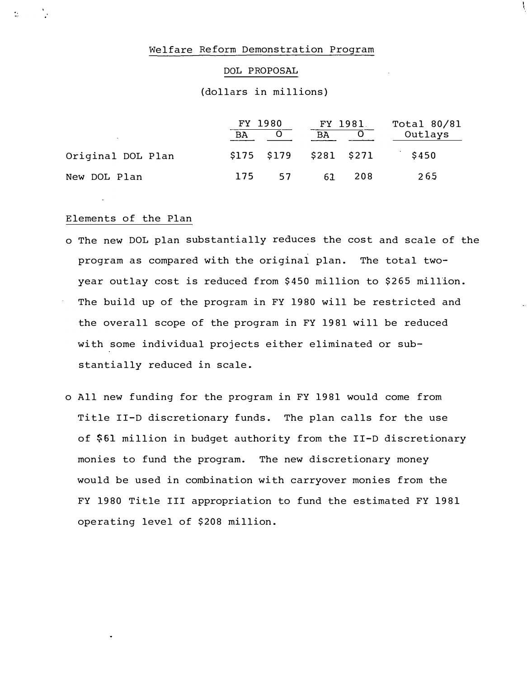#### Welfare Reform Demonstration Program

#### DOL PROPOSAL

## (dollars in millions)

|                   | FY 1980 |                         | FY 1981   |     | Total 80/81 |  |
|-------------------|---------|-------------------------|-----------|-----|-------------|--|
|                   | BA      |                         | <b>BA</b> |     | Outlays     |  |
| Original DOL Plan |         | \$175 \$179 \$281 \$271 |           |     | \$450       |  |
| New DOL Plan      | 175     | 57                      | 63        | 208 | 265         |  |

### Elements of the Plan

 $\frac{1}{2}$ 

V

- o The new DOL plan substantially reduces the cost and scale of the program as compared with the original plan. The total twoyear outlay cost is reduced from \$450 million to \$265 million. The build up of the program in FY 1980 will be restricted and the overall scope of the program in FY 1981 will be reduced with some individual projects either eliminated or substantially reduced in scale.
- o All new funding for the program in FY 1981 would come from Title II-D discretionary funds. The plan calls for the use of \$61 million in budget authority from the II-D discretionary monies to fund the program. The new discretionary money would be used in combination with carryover monies from the FY 1980 Title III appropriation to fund the estimated FY 1981 operating level of \$208 million.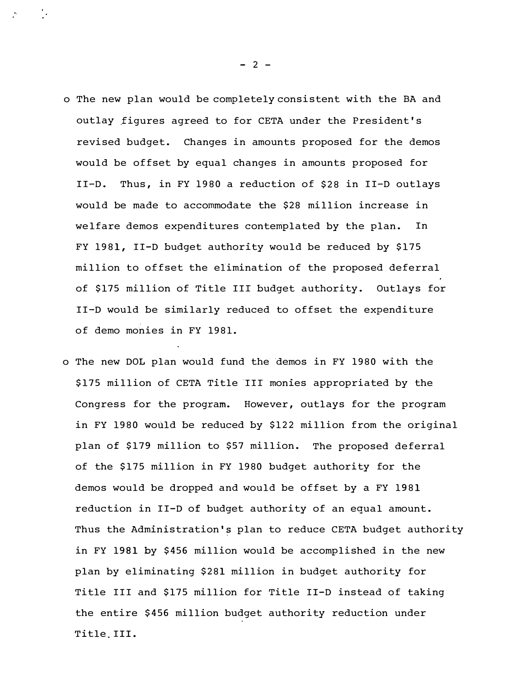- o The new plan would be completely consistent with the BA and outlay figures agreed to for CETA under the President's revised budget. Changes in amounts proposed for the demos would be offset by equal changes in amounts proposed for II-D. Thus, in FY 1980 a reduction of \$28 in II-D outlays would be made to accommodate the \$28 million increase in welfare demos expenditures contemplated by the plan. In FY 1981, II-D budget authority would be reduced by \$175 million to offset the elimination of the proposed deferral of \$175 million of Title III budget authority. Outlays for II-D would be similarly reduced to offset the expenditure of demo monies in FY 1981.
- o The new DOL plan would fund the demos in FY 1980 with the \$175 million of CETA Title III monies appropriated by the Congress for the program. However, outlays for the program in FY 1980 wo�ld be reduced by \$122 million from the original plan of \$179 million to \$57 million. The proposed deferral of the \$175 million in FY 1980 budget authority for the demos would be dropped and would be offset by a FY 1981 reduction in II-D of budget authority of an equal amount. Thus the Administration's plan to reduce CETA budget authority in FY 1981 by \$456 million would be accomplished in the new plan by eliminating \$281 million in budget authority for Title III and \$175 million for Title II-D instead of taking the entire \$456 million budget authority reduction under Title. III.

 $\mathcal{L}^{\text{max}}$  and  $\mathcal{L}^{\text{max}}$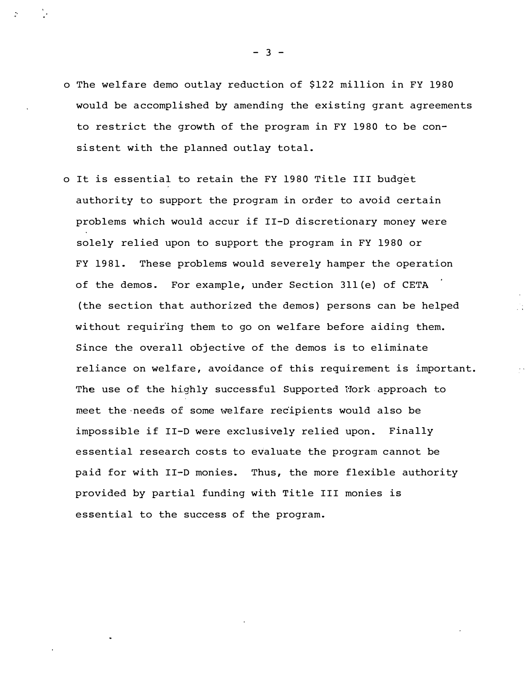- o The welfare demo outlay reduction of \$122 million in FY 1980 would be accomplished by amending the existing grant agreements to restrict the growth of the program in FY 1980 to be consistent with the planned outlay total.
- o It is essential to retain the FY 1980 Title III budget authority to support the program in order to avoid certain problems which would accur if II-D discretionary money were solely relied upon to support the program in FY 1980 or FY 1981. These problems would severely hamper the operation of the demos. For example, under Section 3ll(e) of CETA (the section that authorized the demos) persons can be helped without requiring them to go on welfare before aiding them. Since the overall objective of the demos is to eliminate reliance on welfare, avoidance of this requirement is important. The use of the highly successful Supported Mork approach to meet the needs of some welfare recipients would also be impossible if II-D were exclusively relied upon. Finally essential research costs to evaluate the program cannot be paid for with II-D monies. Thus, the more flexible authority provided by partial funding with Title III monies is essential to the success of the program.

 $- 3 -$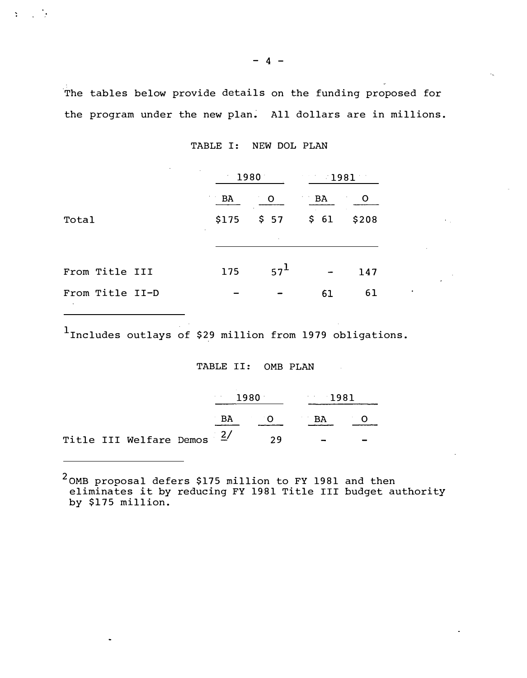The tables below provide details on the funding proposed for the program under the new plan. All dollars are in millions.

| NEW DOL PLAN | TABLE I: |  |  |  |  |
|--------------|----------|--|--|--|--|
|--------------|----------|--|--|--|--|

| $\cdot$                                                       | ٠     | 1980            | 1981                                                         |       |  |
|---------------------------------------------------------------|-------|-----------------|--------------------------------------------------------------|-------|--|
|                                                               | BA    | O               | BA                                                           | O     |  |
| Total                                                         | \$175 | \$ 57           | $\begin{array}{r} \text{S} \\ \text{S} \end{array} \quad 61$ | \$208 |  |
|                                                               |       |                 |                                                              |       |  |
|                                                               |       |                 |                                                              |       |  |
| From Title III                                                | 175   | 57 <sup>L</sup> |                                                              | 147   |  |
| From Title II-D<br><b>Contract Contract Contract Contract</b> |       |                 | 61                                                           | 61    |  |

 $\mathbf{Y} = \{x_i\}_{i=1}^n$ 

<sup>1</sup>Includes outlays of \$29 million from 1979 obligations.

TABLE II: OMB PLAN

|  |                            | 1980 |    | 1981 |  |  |
|--|----------------------------|------|----|------|--|--|
|  |                            |      | BA | O BA |  |  |
|  | Title III Welfare Demos 2/ |      |    | 29   |  |  |

 $^2$ OMB proposal defers \$175 million to FY 1981 and then eliminates it by reducing FY 1981 Title III budget authority by \$175 million.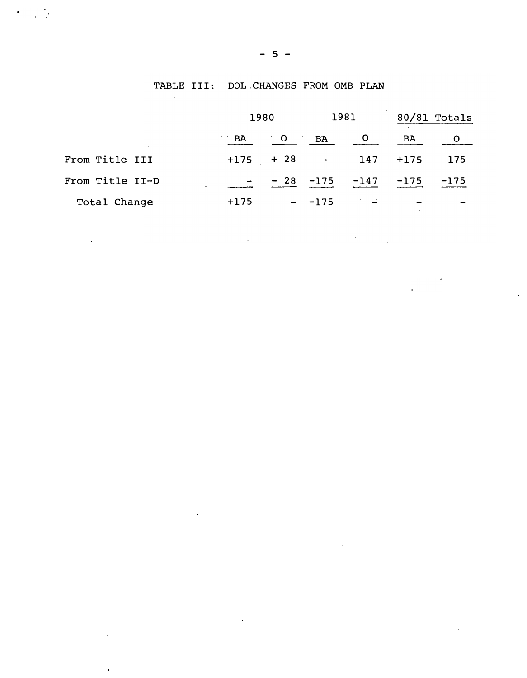|                 |                | 1980                     |              | 1981           |        | 80/81 Totals |  |
|-----------------|----------------|--------------------------|--------------|----------------|--------|--------------|--|
|                 | $\overline{B}$ | $\overline{O}$           | BA           | $\overline{O}$ | BA     |              |  |
| From Title III  |                | $+175 + 28$              |              | 147            | $+175$ | 175          |  |
| From Title II-D |                |                          | $-28$ $-175$ | $-147$         | $-175$ | $-175$       |  |
| Total Change    | $+175$         | $\overline{\phantom{0}}$ | $-175$       |                |        |              |  |

 $\sim$  10  $^{\circ}$ 

 $\ddot{\phantom{a}}$ 

 $\mathcal{L}^{\text{max}}_{\text{max}}$  ,  $\mathcal{L}^{\text{max}}_{\text{max}}$ 

 $\sim 1$ 

 $\Delta \sim 10$ 

 $\mathcal{L}^{\text{max}}_{\text{max}}$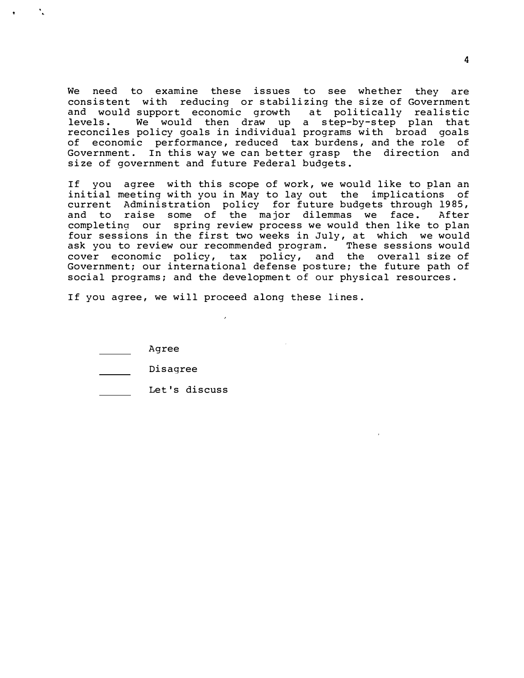We need to examine these issues to see whether they are consistent with reducing or stabilizing the size of Government and would support economic growth at politically realistic levels. We would then draw up a step-by-step plan that reconciles policy goals in individual programs with broad goals of economic performance, reduced tax burdens, and the role of Government. In this way we can better grasp the direction and size of government and future Federal budgets.

If you agree with this scope of work, we would like to plan an initial meeting with you in May to lay out the implications of current Administration policy for future budgets through 1985, and to raise some of the major dilemmas we face. After completing our spring review process we would then like to plan four sessions in the first two weeks in July, at which we would ask you to review our recommended program. These sessions would cover economic policy, tax policy, and the overall size of Government; our international defense posture; the future path of social programs; and the development of our physical resources.

If you agree, we will proceed along these lines.

| Agree |
|-------|
|-------|

| Disagree |  |
|----------|--|
|----------|--|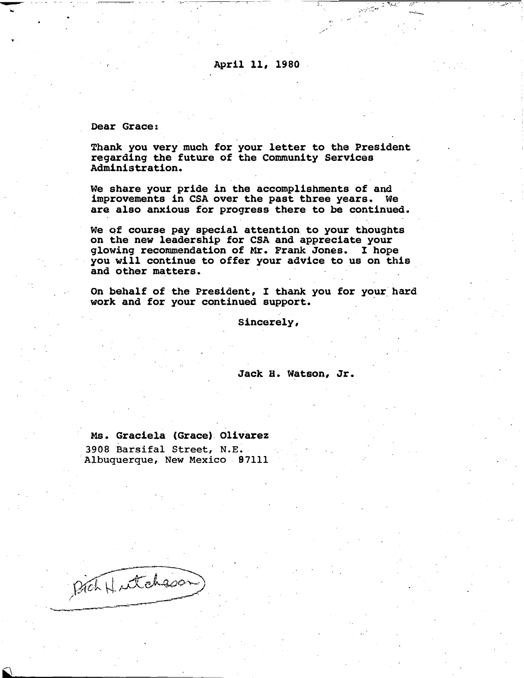April 11, 1980

.-:--· .-

وسينبذج

..... � -·--;,.·; .

#### Dear Grace:

-...

Thank you very much for your letter to the President regarding the future of the Community Services Administration.

We share your pride in the accomplishments of and improvements in CSA over the past three years. We are also anxious for progress there to be continued.

We of course pay special attention to your thoughts on the new leadership for CSA and appreciate your glowing recommendation of Mr. Frank Jones. I hope you will continue to offer your advice to us on this and other matters.

on behalf of the President, I thank you for yo ur. hard . work and for your continued support.

Sincerely,

#### Jack H. Watson, Jr.

Ms. Graciela (Grace). Olivarez 3908 Barsifal Street, N.E. Albuquerque, New Mexico . 97111

Prohlutchson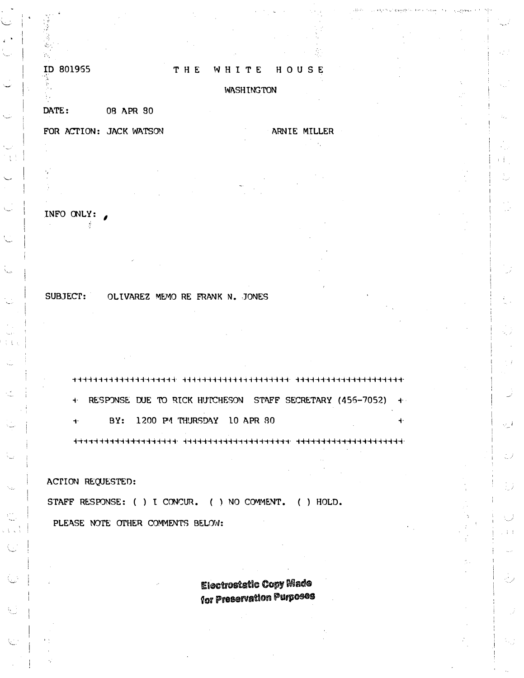#### ID 801955

Y.

#### THE WHITE HOUSE

#### **WASHINGTON**

08 APR 30 DATE:

FOR ACTION: JACK WATSON ARNIE MILLER

# INFO ONLY:

Å

SUBJECT: OLIVAREZ MEMO RE FRANK N. JONES

न्नचन्नचन्नचन्नचन्नचन्नचन्नचन्नचन्नः । सर्वस्यक्षेत्रस्य सर्वतन्तवनचन्नः । सर्वचनचन्नचनचनचनचनचनचनचनचन + RESPONSE DUE TO RICK HUTCHESON STAFF SECRETARY (456-7052) + BY: 1200 PM THURSDAY 10 APR 80  $\ddot{\mathbf{r}}$  $\ddot{\phantom{1}}$ 

**ACTION REQUESTED:** 

STAFF RESPONSE: ( ) I CONCUR. ( ) NO COMMENT. ( ) HOLD.

PLEASE NOTE OTHER COMMENTS BELOW:

**Electrostatic Copy Made** for Preservation Purposes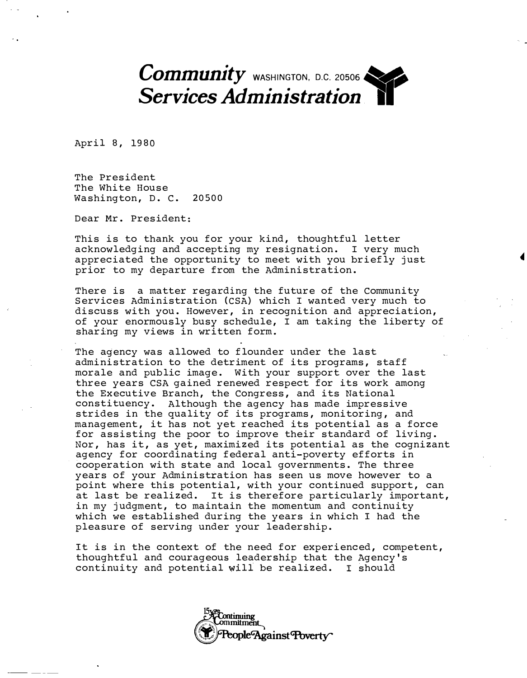Community WASHINGTON, D.C. 20506 Services Administration

April 8, 1980

The President The White House Washington, D. C. 20500

Dear Mr. President:

This is to thank you for your kind, thoughtful letter acknowledging and accepting my resignation. I very much appreciated the opportunity to meet with you briefly just prior to my departure from the Administration.

There is a matter regarding the future of the Community Services Administration (CSA) which I wanted very much to discuss with you. However, in recognition and appreciation, of your enormously busy schedule, I am taking the liberty of sharing my views in written form.

The agency was allowed to flounder under the last administration to the detriment of its programs, staff morale and public image. With your support over the last three years CSA gained renewed respect for its work among the Executive Branch, the Congress, and its National constituency. Although the agency has made impressive strides in the quality of its programs, monitoring, and management, it has not yet reached its potential as a force for assisting the poor to improve their standard of living. Nor, has it, as yet, maximized its potential as the cognizant agency for coordinating federal anti-poverty efforts in cooperation with state and local governments. The three years of your Administration has seen us move however to a point where this potential, with your continued support, can at last be realized. It is therefore particularly important, in my judgment, to maintain the momentum and continuity which we established during the years in which I had the pleasure of serving under your leadership.

It is in the context of the need for experienced, competent, thoughtful and courageous leadership that the Agency's continuity and potential will be realized. I should

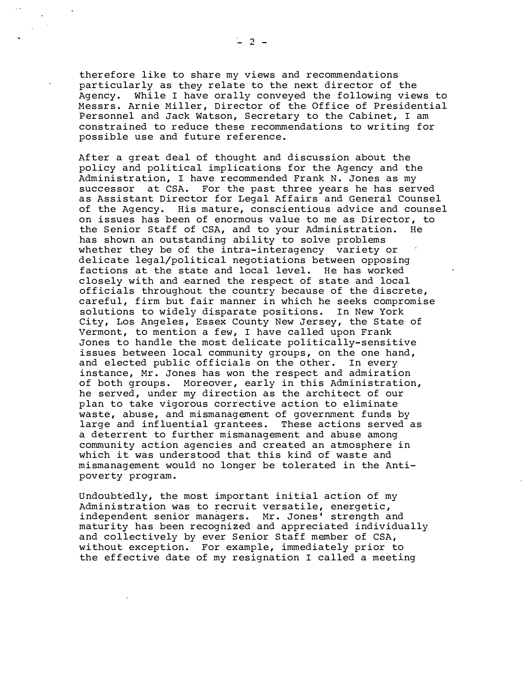therefore like to share my views and recommendations particularly as they relate to the next director of the Agency. While I have orally conveyed the following views to Messrs. Arnie Miller, Director of the Office of Presidential Personnel and Jack Watson, Secretary to the Cabinet, I am constrained to reduce these recommendations to writing for possible use and future reference.

After a great deal of thought and discussion about the policy and political implications for the Agency and the Administration, I have recommended Frank N. Jones as my successor at CSA. For the past three years he has served as Assistant Director for Legal Affairs and General Counsel of the Agency. His mature, conscientious advice and counsel on issues has been of enormous value to me as Director, to the Senior Staff of CSA, and to your Administration. He has shown an outstanding ability to solve problems whether they be of the intra-interagency variety or delicate legal/political negotiations between opposing factions at the state and local level. He has worked closely with and earned the respect of state and local officials throughout the country because of the discrete, careful, firm but fair manner in which he seeks compromise solutions to widely disparate positions. In New York City, Los Angeles, Essex County New Jersey, the State of Vermont, to mention a few, I have called upon Frank Jones to handle the most delicate politically-sensitive issues between local community groups, on the one hand, and elected public officials on the other. In every instance, Mr. Jones has won the respect and admiration of both groups. Moreover, early in this Administration, he served, under my direction as the architect of our plan to take vigorous corrective action to eliminate waste, abuse, and mismanagement of government funds by large and influential grantees. These actions served as a deterrent to further mismanagement and abuse among community action agencies and created an atmosphere in which it was understood that this kind of waste and mismanagement would no longer be tolerated in the Antipoverty program.

Undoubt'edly, the most important initial action of my Administration was to recruit versatile, energetic, independent senior managers. Mr. Jones' strength and maturity has been recognized and appreciated individually and collectively by ever Senior Staff member of CSA, without exception. For example, immediately prior to the effective date of my resignation I called a meeting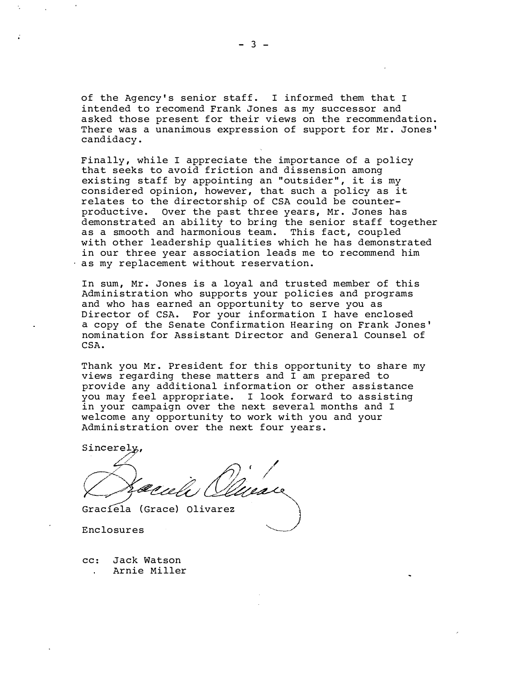of the Agency's senior staff. I informed them that I intended to recomend Frank Jones as my successor and asked those present for their views on the recommendation. There was a unanimous expression of support for Mr. Jones' candidacy.

Finally, while I appreciate the importance of a policy that seeks to avoid friction and dissension among existing staff by appointing an "outsider", it is my considered opinion, however, that such a policy as it relates to the directorship of CSA could be counterproductive. Over the past three years, Mr. Jones has demonstrated an ability to bring the senior staff together as a smooth and harmonious team. This fact, coupled with other leadership qualities which he has demonstrated in our three year association leads me to recommend him as my replacement without reservation.

In sum, Mr.; Jones is a loyal and trusted member of this Administration who supports your policies and programs and who has earned an opportunity to serve you as Director of CSA. For your information I have enclosed a copy of the Senate Confirmation Hearing on Frank Jones' nomination for Assistant Director and General Counsel of CSA.

Thank you Mr. President for this opportunity to share my views regarding these matters and I am prepared to provide any additional information or other assistance you may feel appropriate. I look forward to assisting in your campaign over the next several months and I welcome any opportunity to work with you and your Administration over the next four years.

Sincerely,

,/ /

Grac1ela (Grace) Olivarez

Enclosures

cc: Jack Watson Arnie Miller